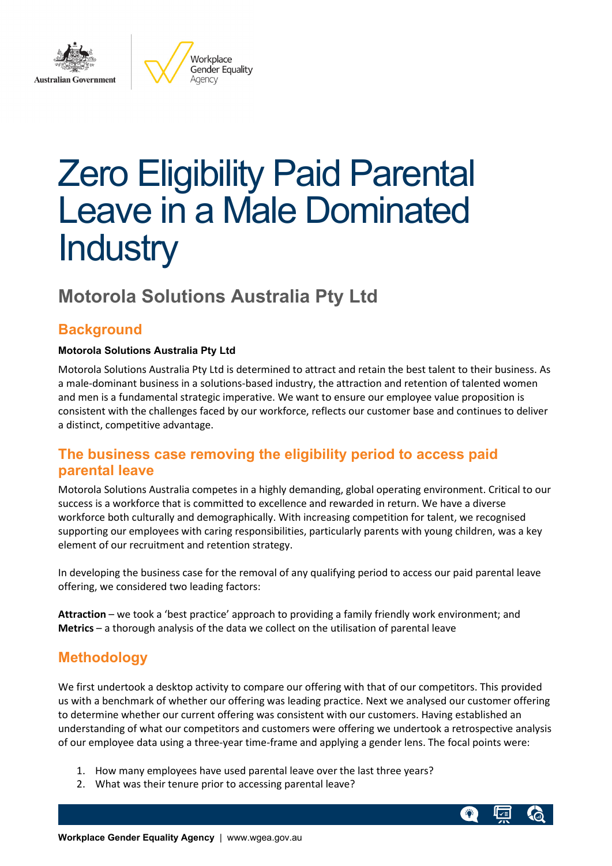

Workplace Gender Equality Agency

# Zero Eligibility Paid Parental Leave in a Male Dominated **Industry**

# **Motorola Solutions Australia Pty Ltd**

# **Background**

#### **Motorola Solutions Australia Pty Ltd**

Motorola Solutions Australia Pty Ltd is determined to attract and retain the best talent to their business. As a male-dominant business in a solutions-based industry, the attraction and retention of talented women and men is a fundamental strategic imperative. We want to ensure our employee value proposition is consistent with the challenges faced by our workforce, reflects our customer base and continues to deliver a distinct, competitive advantage.

# **The business case removing the eligibility period to access paid parental leave**

Motorola Solutions Australia competes in a highly demanding, global operating environment. Critical to our success is a workforce that is committed to excellence and rewarded in return. We have a diverse workforce both culturally and demographically. With increasing competition for talent, we recognised supporting our employees with caring responsibilities, particularly parents with young children, was a key element of our recruitment and retention strategy.

In developing the business case for the removal of any qualifying period to access our paid parental leave offering, we considered two leading factors:

**Attraction** – we took a 'best practice' approach to providing a family friendly work environment; and **Metrics** – a thorough analysis of the data we collect on the utilisation of parental leave

# **Methodology**

We first undertook a desktop activity to compare our offering with that of our competitors. This provided us with a benchmark of whether our offering was leading practice. Next we analysed our customer offering to determine whether our current offering was consistent with our customers. Having established an understanding of what our competitors and customers were offering we undertook a retrospective analysis of our employee data using a three-year time-frame and applying a gender lens. The focal points were:

- 1. How many employees have used parental leave over the last three years?
- 2. What was their tenure prior to accessing parental leave?